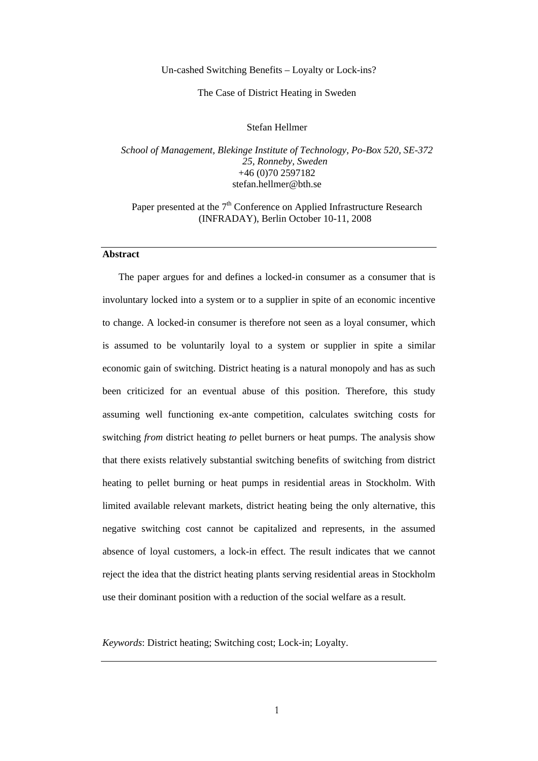## Un-cashed Switching Benefits – Loyalty or Lock-ins?

### The Case of District Heating in Sweden

## Stefan Hellmer

*School of Management, Blekinge Institute of Technology, Po-Box 520, SE-372 25, Ronneby, Sweden*  +46 (0)70 2597182 stefan.hellmer@bth.se

# Paper presented at the  $7<sup>th</sup>$  Conference on Applied Infrastructure Research (INFRADAY), Berlin October 10-11, 2008

# **Abstract**

The paper argues for and defines a locked-in consumer as a consumer that is involuntary locked into a system or to a supplier in spite of an economic incentive to change. A locked-in consumer is therefore not seen as a loyal consumer, which is assumed to be voluntarily loyal to a system or supplier in spite a similar economic gain of switching. District heating is a natural monopoly and has as such been criticized for an eventual abuse of this position. Therefore, this study assuming well functioning ex-ante competition, calculates switching costs for switching *from* district heating *to* pellet burners or heat pumps. The analysis show that there exists relatively substantial switching benefits of switching from district heating to pellet burning or heat pumps in residential areas in Stockholm. With limited available relevant markets, district heating being the only alternative, this negative switching cost cannot be capitalized and represents, in the assumed absence of loyal customers, a lock-in effect. The result indicates that we cannot reject the idea that the district heating plants serving residential areas in Stockholm use their dominant position with a reduction of the social welfare as a result.

*Keywords*: District heating; Switching cost; Lock-in; Loyalty.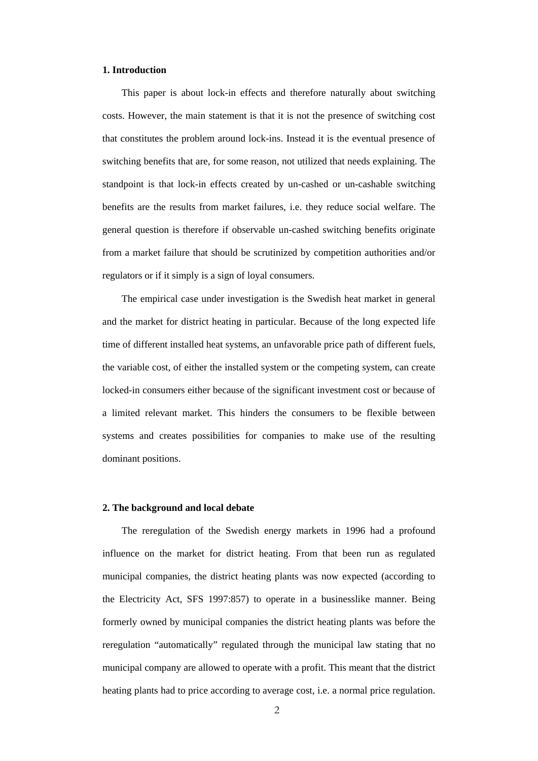# **1. Introduction**

This paper is about lock-in effects and therefore naturally about switching costs. However, the main statement is that it is not the presence of switching cost that constitutes the problem around lock-ins. Instead it is the eventual presence of switching benefits that are, for some reason, not utilized that needs explaining. The standpoint is that lock-in effects created by un-cashed or un-cashable switching benefits are the results from market failures, i.e. they reduce social welfare. The general question is therefore if observable un-cashed switching benefits originate from a market failure that should be scrutinized by competition authorities and/or regulators or if it simply is a sign of loyal consumers.

The empirical case under investigation is the Swedish heat market in general and the market for district heating in particular. Because of the long expected life time of different installed heat systems, an unfavorable price path of different fuels, the variable cost, of either the installed system or the competing system, can create locked-in consumers either because of the significant investment cost or because of a limited relevant market. This hinders the consumers to be flexible between systems and creates possibilities for companies to make use of the resulting dominant positions.

### **2. The background and local debate**

The reregulation of the Swedish energy markets in 1996 had a profound influence on the market for district heating. From that been run as regulated municipal companies, the district heating plants was now expected (according to the Electricity Act, SFS 1997:857) to operate in a businesslike manner. Being formerly owned by municipal companies the district heating plants was before the reregulation "automatically" regulated through the municipal law stating that no municipal company are allowed to operate with a profit. This meant that the district heating plants had to price according to average cost, i.e. a normal price regulation.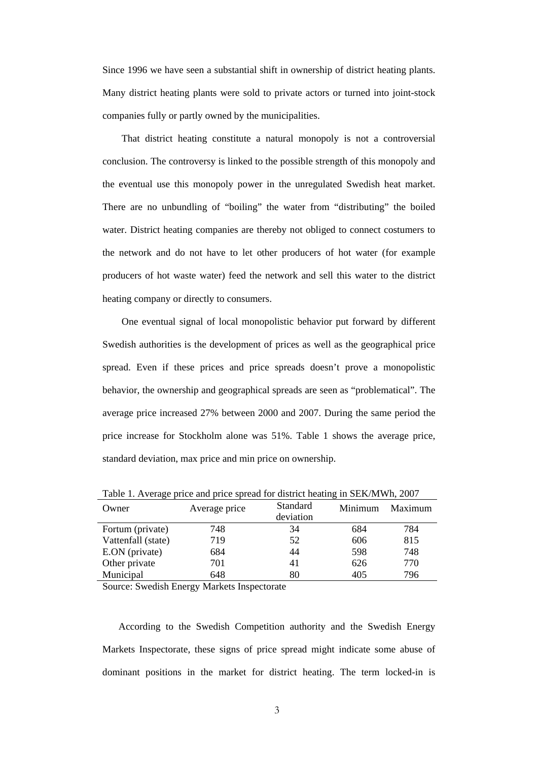Since 1996 we have seen a substantial shift in ownership of district heating plants. Many district heating plants were sold to private actors or turned into joint-stock companies fully or partly owned by the municipalities.

That district heating constitute a natural monopoly is not a controversial conclusion. The controversy is linked to the possible strength of this monopoly and the eventual use this monopoly power in the unregulated Swedish heat market. There are no unbundling of "boiling" the water from "distributing" the boiled water. District heating companies are thereby not obliged to connect costumers to the network and do not have to let other producers of hot water (for example producers of hot waste water) feed the network and sell this water to the district heating company or directly to consumers.

One eventual signal of local monopolistic behavior put forward by different Swedish authorities is the development of prices as well as the geographical price spread. Even if these prices and price spreads doesn't prove a monopolistic behavior, the ownership and geographical spreads are seen as "problematical". The average price increased 27% between 2000 and 2007. During the same period the price increase for Stockholm alone was 51%. Table 1 shows the average price, standard deviation, max price and min price on ownership.

| Owner              | Average price | Standard<br>deviation | Minimum | Maximum |
|--------------------|---------------|-----------------------|---------|---------|
| Fortum (private)   | 748           | 34                    | 684     | 784     |
| Vattenfall (state) | 719           | 52                    | 606     | 815     |
| E.ON (private)     | 684           | 44                    | 598     | 748     |
| Other private      | 701           | 41                    | 626     | 770     |
| Municipal          | 648           | 80                    | 405     | 796     |

Table 1. Average price and price spread for district heating in SEK/MWh, 2007

Source: Swedish Energy Markets Inspectorate

According to the Swedish Competition authority and the Swedish Energy Markets Inspectorate, these signs of price spread might indicate some abuse of dominant positions in the market for district heating. The term locked-in is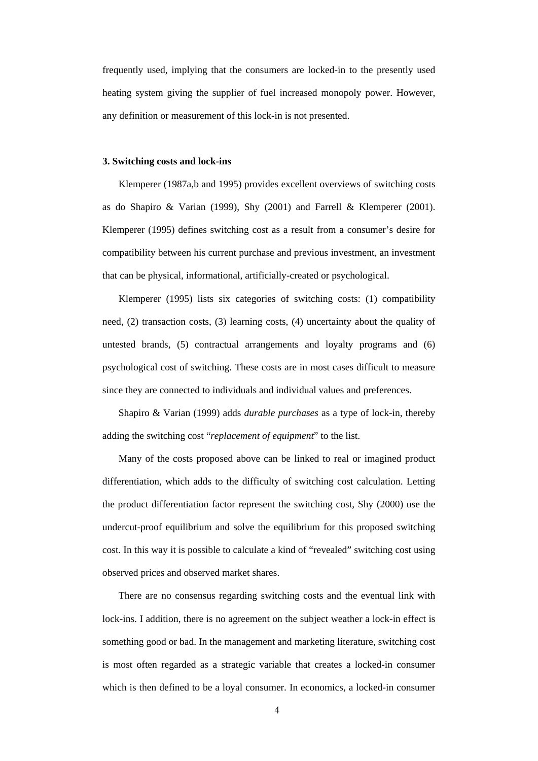frequently used, implying that the consumers are locked-in to the presently used heating system giving the supplier of fuel increased monopoly power. However, any definition or measurement of this lock-in is not presented.

#### **3. Switching costs and lock-ins**

Klemperer (1987a,b and 1995) provides excellent overviews of switching costs as do Shapiro & Varian (1999), Shy (2001) and Farrell & Klemperer (2001). Klemperer (1995) defines switching cost as a result from a consumer's desire for compatibility between his current purchase and previous investment, an investment that can be physical, informational, artificially-created or psychological.

Klemperer (1995) lists six categories of switching costs: (1) compatibility need, (2) transaction costs, (3) learning costs, (4) uncertainty about the quality of untested brands, (5) contractual arrangements and loyalty programs and (6) psychological cost of switching. These costs are in most cases difficult to measure since they are connected to individuals and individual values and preferences.

Shapiro & Varian (1999) adds *durable purchases* as a type of lock-in, thereby adding the switching cost "*replacement of equipment*" to the list.

Many of the costs proposed above can be linked to real or imagined product differentiation, which adds to the difficulty of switching cost calculation. Letting the product differentiation factor represent the switching cost, Shy (2000) use the undercut-proof equilibrium and solve the equilibrium for this proposed switching cost. In this way it is possible to calculate a kind of "revealed" switching cost using observed prices and observed market shares.

There are no consensus regarding switching costs and the eventual link with lock-ins. I addition, there is no agreement on the subject weather a lock-in effect is something good or bad. In the management and marketing literature, switching cost is most often regarded as a strategic variable that creates a locked-in consumer which is then defined to be a loyal consumer. In economics, a locked-in consumer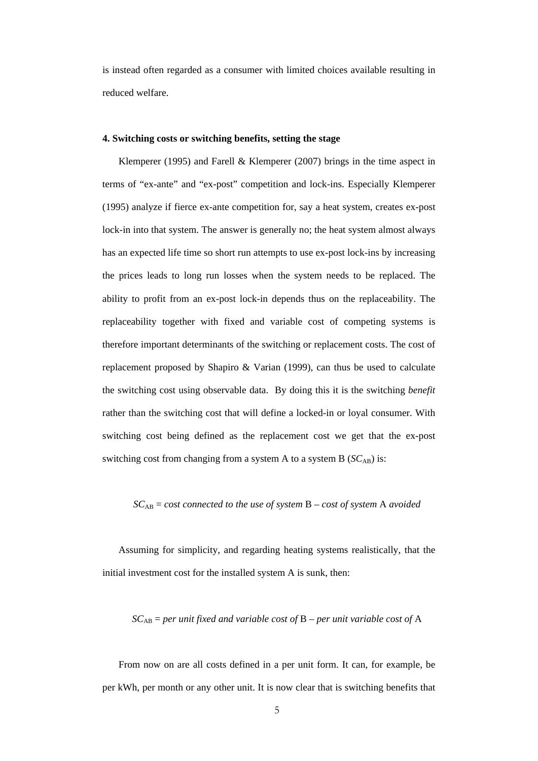is instead often regarded as a consumer with limited choices available resulting in reduced welfare.

## **4. Switching costs or switching benefits, setting the stage**

Klemperer (1995) and Farell & Klemperer (2007) brings in the time aspect in terms of "ex-ante" and "ex-post" competition and lock-ins. Especially Klemperer (1995) analyze if fierce ex-ante competition for, say a heat system, creates ex-post lock-in into that system. The answer is generally no; the heat system almost always has an expected life time so short run attempts to use ex-post lock-ins by increasing the prices leads to long run losses when the system needs to be replaced. The ability to profit from an ex-post lock-in depends thus on the replaceability. The replaceability together with fixed and variable cost of competing systems is therefore important determinants of the switching or replacement costs. The cost of replacement proposed by Shapiro & Varian (1999), can thus be used to calculate the switching cost using observable data. By doing this it is the switching *benefit* rather than the switching cost that will define a locked-in or loyal consumer. With switching cost being defined as the replacement cost we get that the ex-post switching cost from changing from a system A to a system B ( $SC<sub>AB</sub>$ ) is:

$$
SC_{AB} = cost
$$
 connected to the use of system B - cost of system A avoided

Assuming for simplicity, and regarding heating systems realistically, that the initial investment cost for the installed system A is sunk, then:

# *SC*AB = *per unit fixed and variable cost of* B – *per unit variable cost of* A

From now on are all costs defined in a per unit form. It can, for example, be per kWh, per month or any other unit. It is now clear that is switching benefits that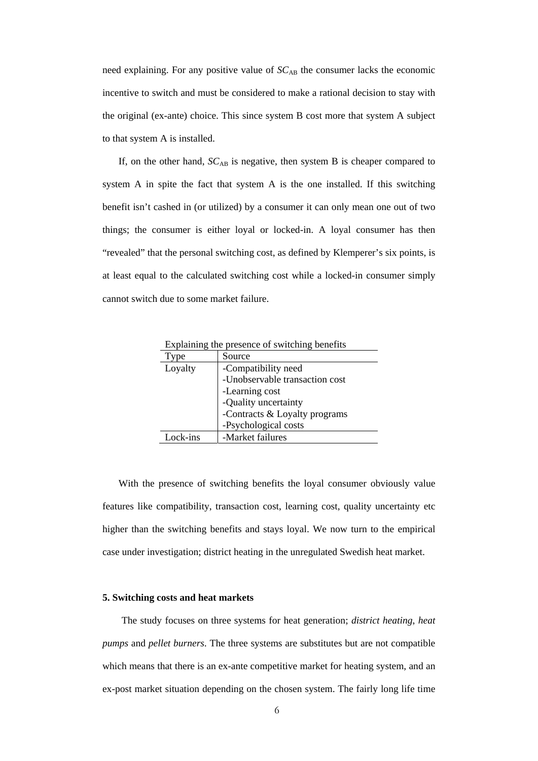need explaining. For any positive value of  $SC_{AB}$  the consumer lacks the economic incentive to switch and must be considered to make a rational decision to stay with the original (ex-ante) choice. This since system B cost more that system A subject to that system A is installed.

If, on the other hand,  $SC_{AB}$  is negative, then system B is cheaper compared to system A in spite the fact that system A is the one installed. If this switching benefit isn't cashed in (or utilized) by a consumer it can only mean one out of two things; the consumer is either loyal or locked-in. A loyal consumer has then "revealed" that the personal switching cost, as defined by Klemperer's six points, is at least equal to the calculated switching cost while a locked-in consumer simply cannot switch due to some market failure.

Explaining the presence of switching benefits

| l'vne    | Source                         |
|----------|--------------------------------|
| Loyalty  | -Compatibility need            |
|          | -Unobservable transaction cost |
|          | -Learning cost                 |
|          | -Quality uncertainty           |
|          | -Contracts & Loyalty programs  |
|          | -Psychological costs           |
| Lock-ins | -Market failures               |

With the presence of switching benefits the loyal consumer obviously value features like compatibility, transaction cost, learning cost, quality uncertainty etc higher than the switching benefits and stays loyal. We now turn to the empirical case under investigation; district heating in the unregulated Swedish heat market.

## **5. Switching costs and heat markets**

The study focuses on three systems for heat generation; *district heating*, *heat pumps* and *pellet burners*. The three systems are substitutes but are not compatible which means that there is an ex-ante competitive market for heating system, and an ex-post market situation depending on the chosen system. The fairly long life time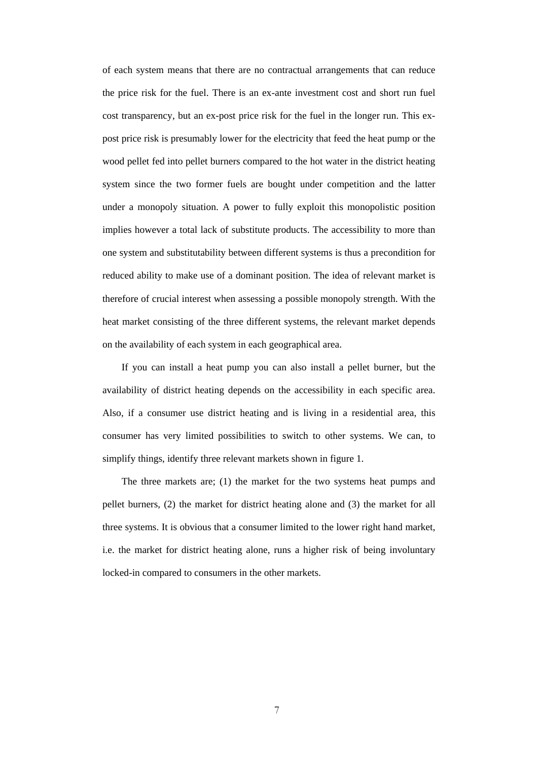of each system means that there are no contractual arrangements that can reduce the price risk for the fuel. There is an ex-ante investment cost and short run fuel cost transparency, but an ex-post price risk for the fuel in the longer run. This expost price risk is presumably lower for the electricity that feed the heat pump or the wood pellet fed into pellet burners compared to the hot water in the district heating system since the two former fuels are bought under competition and the latter under a monopoly situation. A power to fully exploit this monopolistic position implies however a total lack of substitute products. The accessibility to more than one system and substitutability between different systems is thus a precondition for reduced ability to make use of a dominant position. The idea of relevant market is therefore of crucial interest when assessing a possible monopoly strength. With the heat market consisting of the three different systems, the relevant market depends on the availability of each system in each geographical area.

If you can install a heat pump you can also install a pellet burner, but the availability of district heating depends on the accessibility in each specific area. Also, if a consumer use district heating and is living in a residential area, this consumer has very limited possibilities to switch to other systems. We can, to simplify things, identify three relevant markets shown in figure 1.

The three markets are; (1) the market for the two systems heat pumps and pellet burners, (2) the market for district heating alone and (3) the market for all three systems. It is obvious that a consumer limited to the lower right hand market, i.e. the market for district heating alone, runs a higher risk of being involuntary locked-in compared to consumers in the other markets.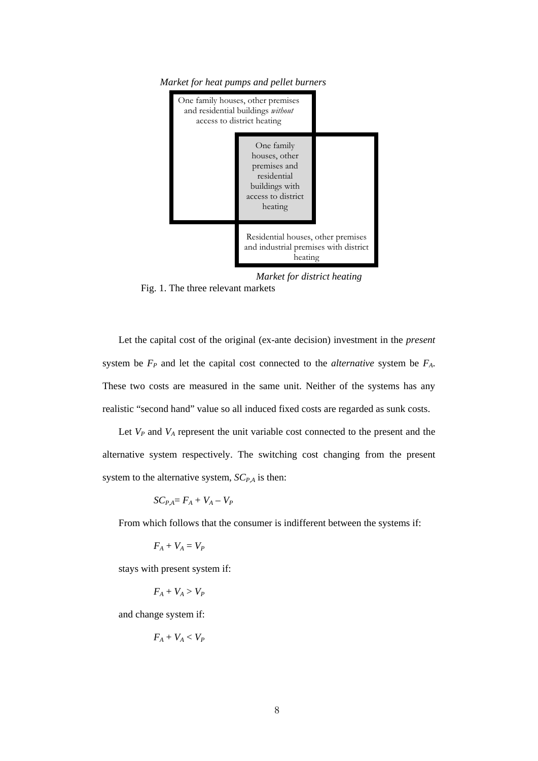



*Market for district heating* 

Fig. 1. The three relevant markets

Let the capital cost of the original (ex-ante decision) investment in the *present* system be  $F_P$  and let the capital cost connected to the *alternative* system be  $F_A$ . These two costs are measured in the same unit. Neither of the systems has any realistic "second hand" value so all induced fixed costs are regarded as sunk costs.

Let  $V_P$  and  $V_A$  represent the unit variable cost connected to the present and the alternative system respectively. The switching cost changing from the present system to the alternative system,  $SC_{P,A}$  is then:

$$
SC_{P,A} = F_A + V_A - V_P
$$

From which follows that the consumer is indifferent between the systems if:

$$
F_A + V_A = V_P
$$

stays with present system if:

 $F_A + V_A > V_P$ 

and change system if:

$$
F_A+V_A
$$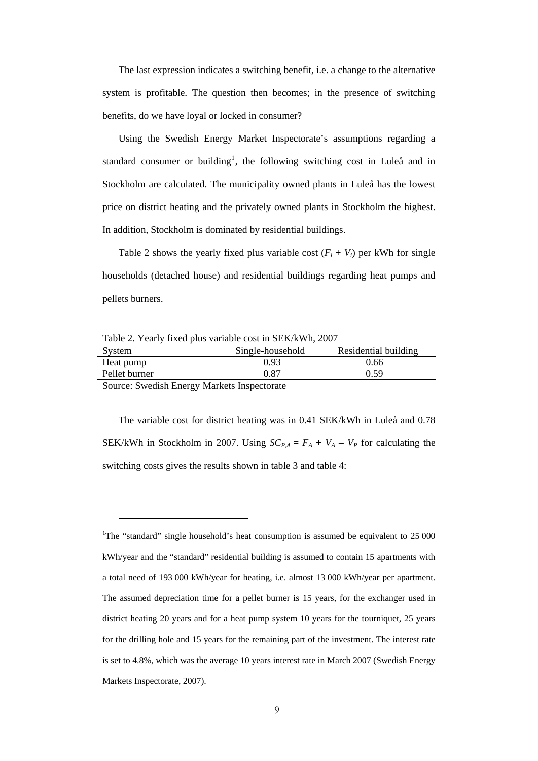The last expression indicates a switching benefit, i.e. a change to the alternative system is profitable. The question then becomes; in the presence of switching benefits, do we have loyal or locked in consumer?

Using the Swedish Energy Market Inspectorate's assumptions regarding a standard consumer or building<sup>[1](#page-8-0)</sup>, the following switching cost in Luleå and in Stockholm are calculated. The municipality owned plants in Luleå has the lowest price on district heating and the privately owned plants in Stockholm the highest. In addition, Stockholm is dominated by residential buildings.

Table 2 shows the yearly fixed plus variable cost  $(F_i + V_i)$  per kWh for single households (detached house) and residential buildings regarding heat pumps and pellets burners.

| Table 2. Yearly fixed plus variable cost in SEK/kWh, 2007 |  |  |  |
|-----------------------------------------------------------|--|--|--|
|-----------------------------------------------------------|--|--|--|

| System                    | Single-household | Residential building |
|---------------------------|------------------|----------------------|
| Heat pump                 | 0.93             | 0.66                 |
| Pellet burner             | 0.87             | 0.59                 |
| $\sim$<br>$\sim$ $\cdots$ | <b>British</b>   |                      |

Source: Swedish Energy Markets Inspectorate

<u>.</u>

The variable cost for district heating was in 0.41 SEK/kWh in Luleå and 0.78 SEK/kWh in Stockholm in 2007. Using  $SC_{P,A} = F_A + V_A - V_P$  for calculating the switching costs gives the results shown in table 3 and table 4:

<span id="page-8-0"></span><sup>&</sup>lt;sup>1</sup>The "standard" single household's heat consumption is assumed be equivalent to 25 000 kWh/year and the "standard" residential building is assumed to contain 15 apartments with a total need of 193 000 kWh/year for heating, i.e. almost 13 000 kWh/year per apartment. The assumed depreciation time for a pellet burner is 15 years, for the exchanger used in district heating 20 years and for a heat pump system 10 years for the tourniquet, 25 years for the drilling hole and 15 years for the remaining part of the investment. The interest rate is set to 4.8%, which was the average 10 years interest rate in March 2007 (Swedish Energy Markets Inspectorate, 2007).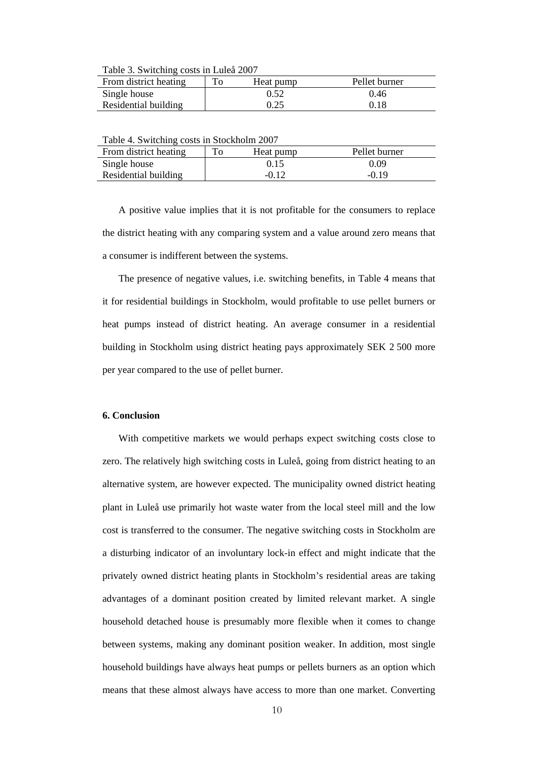Table 3. Switching costs in Luleå 2007

| From district heating | To | Heat pump | Pellet burner |
|-----------------------|----|-----------|---------------|
| Single house          |    | 0.52      | 0.46          |
| Residential building  |    | 0.25      | 0.18          |

Table 4. Switching costs in Stockholm 2007

| From district heating |  | Heat pump | Pellet burner |
|-----------------------|--|-----------|---------------|
| Single house          |  | 0.15      | 0.09          |
| Residential building  |  | $-0.12$   | $-0.19$       |
|                       |  |           |               |

A positive value implies that it is not profitable for the consumers to replace the district heating with any comparing system and a value around zero means that a consumer is indifferent between the systems.

The presence of negative values, i.e. switching benefits, in Table 4 means that it for residential buildings in Stockholm, would profitable to use pellet burners or heat pumps instead of district heating. An average consumer in a residential building in Stockholm using district heating pays approximately SEK 2 500 more per year compared to the use of pellet burner.

## **6. Conclusion**

With competitive markets we would perhaps expect switching costs close to zero. The relatively high switching costs in Luleå, going from district heating to an alternative system, are however expected. The municipality owned district heating plant in Luleå use primarily hot waste water from the local steel mill and the low cost is transferred to the consumer. The negative switching costs in Stockholm are a disturbing indicator of an involuntary lock-in effect and might indicate that the privately owned district heating plants in Stockholm's residential areas are taking advantages of a dominant position created by limited relevant market. A single household detached house is presumably more flexible when it comes to change between systems, making any dominant position weaker. In addition, most single household buildings have always heat pumps or pellets burners as an option which means that these almost always have access to more than one market. Converting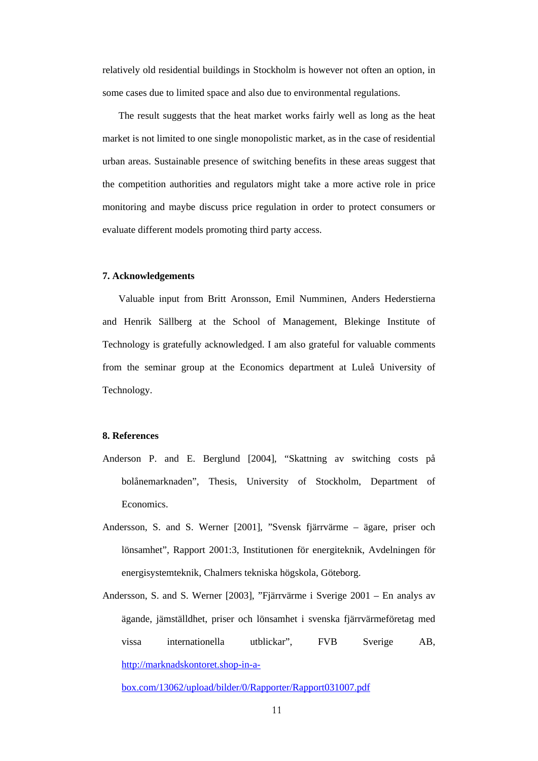relatively old residential buildings in Stockholm is however not often an option, in some cases due to limited space and also due to environmental regulations.

The result suggests that the heat market works fairly well as long as the heat market is not limited to one single monopolistic market, as in the case of residential urban areas. Sustainable presence of switching benefits in these areas suggest that the competition authorities and regulators might take a more active role in price monitoring and maybe discuss price regulation in order to protect consumers or evaluate different models promoting third party access.

### **7. Acknowledgements**

Valuable input from Britt Aronsson, Emil Numminen, Anders Hederstierna and Henrik Sällberg at the School of Management, Blekinge Institute of Technology is gratefully acknowledged. I am also grateful for valuable comments from the seminar group at the Economics department at Luleå University of Technology.

## **8. References**

- Anderson P. and E. Berglund [2004], "Skattning av switching costs på bolånemarknaden", Thesis, University of Stockholm, Department of Economics.
- Andersson, S. and S. Werner [2001], "Svensk fjärrvärme ägare, priser och lönsamhet", Rapport 2001:3, Institutionen för energiteknik, Avdelningen för energisystemteknik, Chalmers tekniska högskola, Göteborg.
- Andersson, S. and S. Werner [2003], "Fjärrvärme i Sverige 2001 En analys av ägande, jämställdhet, priser och lönsamhet i svenska fjärrvärmeföretag med vissa internationella utblickar", FVB Sverige AB, [http://marknadskontoret.shop-in-a-](http://marknadskontoret.shop-in-a-box.com/13062/upload/bilder/0/Rapporter/Rapport031007.pdf)

[box.com/13062/upload/bilder/0/Rapporter/Rapport031007.pdf](http://marknadskontoret.shop-in-a-box.com/13062/upload/bilder/0/Rapporter/Rapport031007.pdf)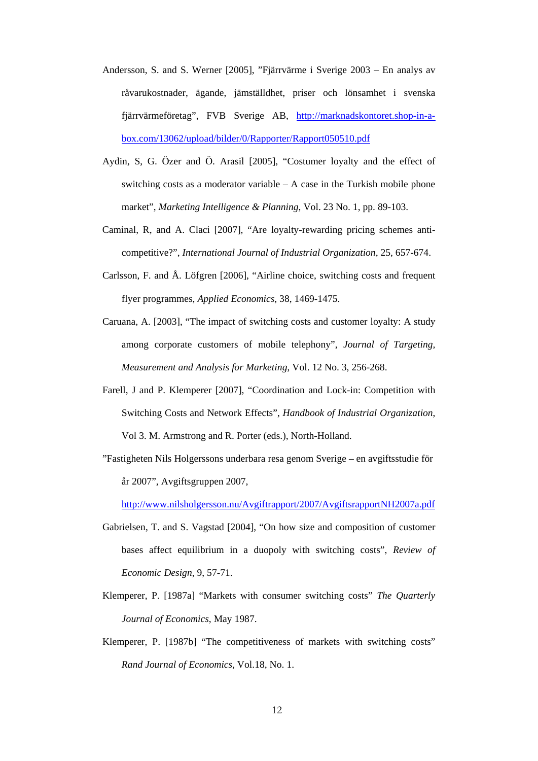- Andersson, S. and S. Werner [2005], "Fjärrvärme i Sverige 2003 En analys av råvarukostnader, ägande, jämställdhet, priser och lönsamhet i svenska fjärrvärmeföretag", FVB Sverige AB, [http://marknadskontoret.shop-in-a](http://marknadskontoret.shop-in-a-box.com/13062/upload/bilder/0/Rapporter/Rapport050510.pdf)[box.com/13062/upload/bilder/0/Rapporter/Rapport050510.pdf](http://marknadskontoret.shop-in-a-box.com/13062/upload/bilder/0/Rapporter/Rapport050510.pdf)
- Aydin, S, G. Özer and Ö. Arasil [2005], "Costumer loyalty and the effect of switching costs as a moderator variable – A case in the Turkish mobile phone market", *Marketing Intelligence & Planning*, Vol. 23 No. 1, pp. 89-103.
- Caminal, R, and A. Claci [2007], "Are loyalty-rewarding pricing schemes anticompetitive?", *International Journal of Industrial Organization*, 25, 657-674.
- Carlsson, F. and Å. Löfgren [2006], "Airline choice, switching costs and frequent flyer programmes, *Applied Economics*, 38, 1469-1475.
- Caruana, A. [2003], "The impact of switching costs and customer loyalty: A study among corporate customers of mobile telephony", *Journal of Targeting, Measurement and Analysis for Marketing*, Vol. 12 No. 3, 256-268.
- Farell, J and P. Klemperer [2007], "Coordination and Lock-in: Competition with Switching Costs and Network Effects", *Handbook of Industrial Organization*, Vol 3. M. Armstrong and R. Porter (eds.), North-Holland.
- "Fastigheten Nils Holgerssons underbara resa genom Sverige en avgiftsstudie för år 2007", Avgiftsgruppen 2007,

<http://www.nilsholgersson.nu/Avgiftrapport/2007/AvgiftsrapportNH2007a.pdf>

- Gabrielsen, T. and S. Vagstad [2004], "On how size and composition of customer bases affect equilibrium in a duopoly with switching costs", *Review of Economic Design*, 9, 57-71.
- Klemperer, P. [1987a] "Markets with consumer switching costs" *The Quarterly Journal of Economics*, May 1987.
- Klemperer, P. [1987b] "The competitiveness of markets with switching costs" *Rand Journal of Economics*, Vol.18, No. 1.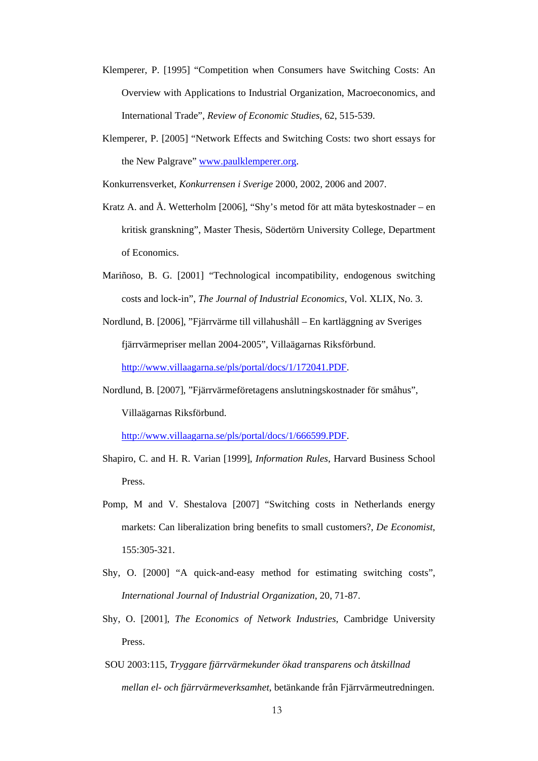- Klemperer, P. [1995] "Competition when Consumers have Switching Costs: An Overview with Applications to Industrial Organization, Macroeconomics, and International Trade", *Review of Economic Studies*, 62, 515-539.
- Klemperer, P. [2005] "Network Effects and Switching Costs: two short essays for the New Palgrave" [www.paulklemperer.org.](http://www.paulklemperer.org/)

Konkurrensverket, *Konkurrensen i Sverige* 2000, 2002, 2006 and 2007.

- Kratz A. and Å. Wetterholm [2006], "Shy's metod för att mäta byteskostnader en kritisk granskning", Master Thesis, Södertörn University College, Department of Economics.
- Mariñoso, B. G. [2001] "Technological incompatibility, endogenous switching costs and lock-in", *The Journal of Industrial Economics*, Vol. XLIX, No. 3.
- Nordlund, B. [2006], "Fjärrvärme till villahushåll En kartläggning av Sveriges fjärrvärmepriser mellan 2004-2005", Villaägarnas Riksförbund. [http://www.villaagarna.se/pls/portal/docs/1/172041.PDF.](http://www.villaagarna.se/pls/portal/docs/1/172041.PDF)
- Nordlund, B. [2007], "Fjärrvärmeföretagens anslutningskostnader för småhus", Villaägarnas Riksförbund.

[http://www.villaagarna.se/pls/portal/docs/1/666599.PDF.](http://www.villaagarna.se/pls/portal/docs/1/666599.PDF)

- Shapiro, C. and H. R. Varian [1999], *Information Rules*, Harvard Business School Press.
- Pomp, M and V. Shestalova [2007] "Switching costs in Netherlands energy markets: Can liberalization bring benefits to small customers?, *De Economist*, 155:305-321.
- Shy, O. [2000] "A quick-and-easy method for estimating switching costs", *International Journal of Industrial Organization*, 20, 71-87.
- Shy, O. [2001], *The Economics of Network Industries*, Cambridge University Press.
- SOU 2003:115, *Tryggare fjärrvärmekunder ökad transparens och åtskillnad mellan el- och fjärrvärmeverksamhet*, betänkande från Fjärrvärmeutredningen.